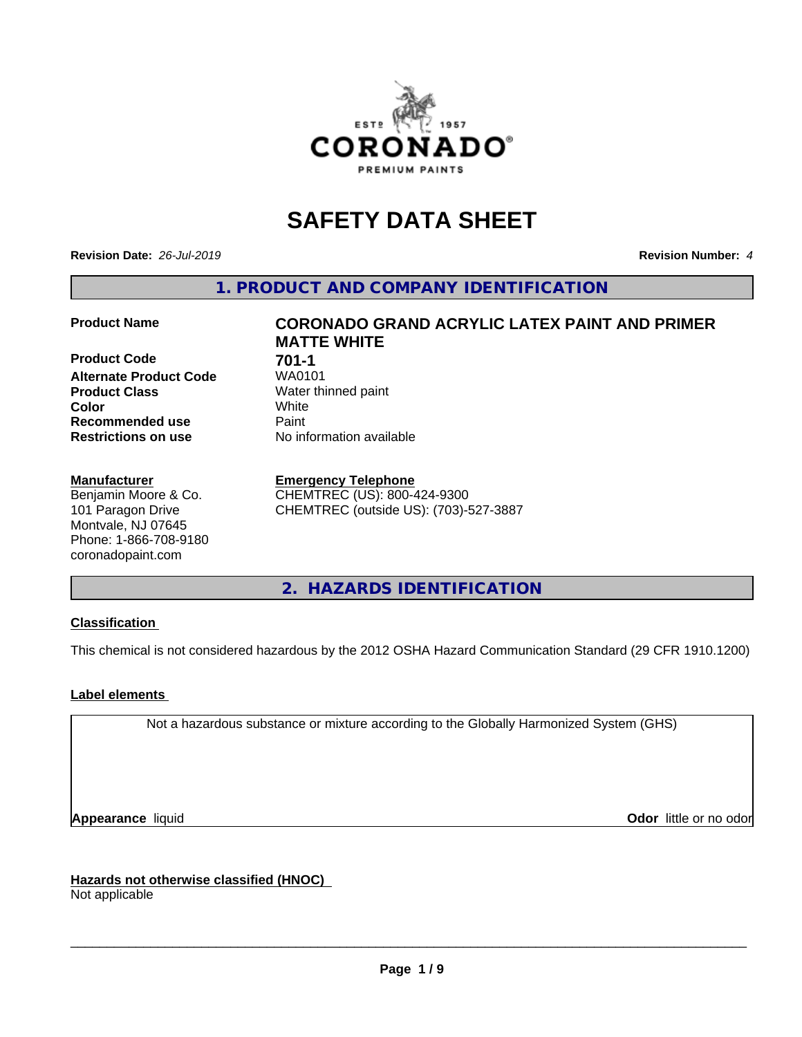

# **SAFETY DATA SHEET**

**Revision Date:** *26-Jul-2019* **Revision Number:** *4*

**1. PRODUCT AND COMPANY IDENTIFICATION**

**Product Code 61 701-1**<br>**Alternate Product Code** WA0101 **Alternate Product Code Product Class** Water thinned paint<br> **Color** White **Color** White **Recommended use Caint Restrictions on use** No information available

#### **Manufacturer**

Benjamin Moore & Co. 101 Paragon Drive Montvale, NJ 07645 Phone: 1-866-708-9180 coronadopaint.com

## **Product Name CORONADO GRAND ACRYLIC LATEX PAINT AND PRIMER MATTE WHITE**

#### **Emergency Telephone**

CHEMTREC (US): 800-424-9300 CHEMTREC (outside US): (703)-527-3887

**2. HAZARDS IDENTIFICATION**

### **Classification**

This chemical is not considered hazardous by the 2012 OSHA Hazard Communication Standard (29 CFR 1910.1200)

### **Label elements**

Not a hazardous substance or mixture according to the Globally Harmonized System (GHS)

**Appearance** liquid **Contract Contract Contract Contract Contract Contract Contract Contract Contract Contract Contract Contract Contract Contract Contract Contract Contract Contract Contract Contract Contract Contract Con** 

**Hazards not otherwise classified (HNOC)**

Not applicable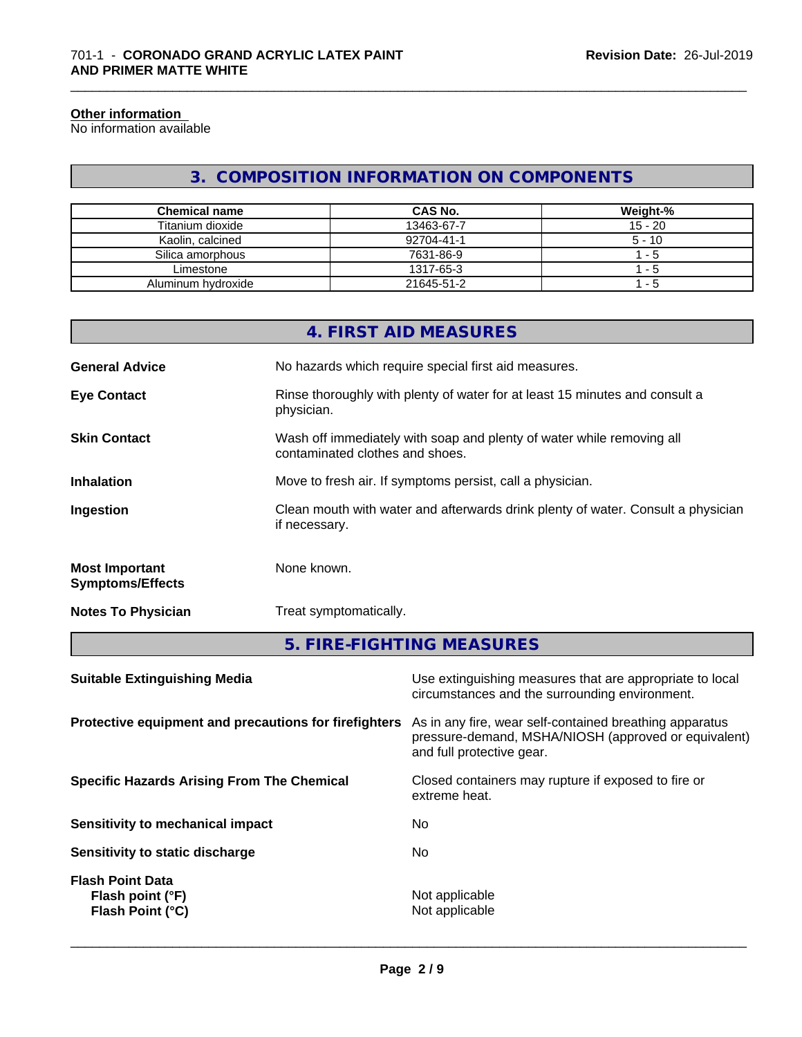#### **Other information**

No information available

### **3. COMPOSITION INFORMATION ON COMPONENTS**

\_\_\_\_\_\_\_\_\_\_\_\_\_\_\_\_\_\_\_\_\_\_\_\_\_\_\_\_\_\_\_\_\_\_\_\_\_\_\_\_\_\_\_\_\_\_\_\_\_\_\_\_\_\_\_\_\_\_\_\_\_\_\_\_\_\_\_\_\_\_\_\_\_\_\_\_\_\_\_\_\_\_\_\_\_\_\_\_\_\_\_\_\_

| <b>Chemical name</b> | CAS No.    | Weight-%  |
|----------------------|------------|-----------|
| Titanium dioxide     | 13463-67-7 | $15 - 20$ |
| Kaolin, calcined     | 92704-41-1 | $5 - 10$  |
| Silica amorphous     | 7631-86-9  | - 5       |
| Limestone            | 1317-65-3  | - 5       |
| Aluminum hydroxide   | 21645-51-2 | - 5       |

|                                                  | 4. FIRST AID MEASURES                                                                                    |
|--------------------------------------------------|----------------------------------------------------------------------------------------------------------|
| <b>General Advice</b>                            | No hazards which require special first aid measures.                                                     |
| <b>Eye Contact</b>                               | Rinse thoroughly with plenty of water for at least 15 minutes and consult a<br>physician.                |
| <b>Skin Contact</b>                              | Wash off immediately with soap and plenty of water while removing all<br>contaminated clothes and shoes. |
| <b>Inhalation</b>                                | Move to fresh air. If symptoms persist, call a physician.                                                |
| Ingestion                                        | Clean mouth with water and afterwards drink plenty of water. Consult a physician<br>if necessary.        |
| <b>Most Important</b><br><b>Symptoms/Effects</b> | None known.                                                                                              |
| <b>Notes To Physician</b>                        | Treat symptomatically.                                                                                   |
|                                                  | 5. FIRE-FIGHTING MEASURES                                                                                |

| <b>Suitable Extinguishing Media</b>                             | Use extinguishing measures that are appropriate to local<br>circumstances and the surrounding environment.                                   |
|-----------------------------------------------------------------|----------------------------------------------------------------------------------------------------------------------------------------------|
| Protective equipment and precautions for firefighters           | As in any fire, wear self-contained breathing apparatus<br>pressure-demand, MSHA/NIOSH (approved or equivalent)<br>and full protective gear. |
| <b>Specific Hazards Arising From The Chemical</b>               | Closed containers may rupture if exposed to fire or<br>extreme heat.                                                                         |
| Sensitivity to mechanical impact                                | No                                                                                                                                           |
| Sensitivity to static discharge                                 | No.                                                                                                                                          |
| <b>Flash Point Data</b><br>Flash point (°F)<br>Flash Point (°C) | Not applicable<br>Not applicable                                                                                                             |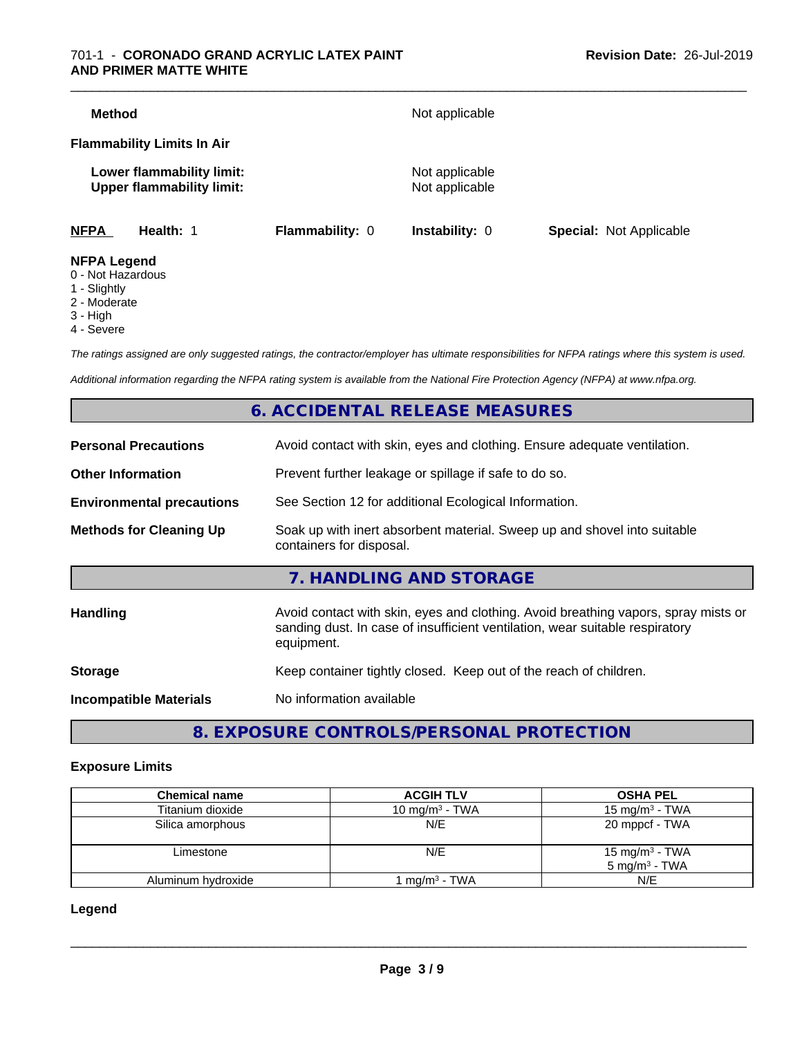#### 701-1 - **CORONADO GRAND ACRYLIC LATEX PAINT AND PRIMER MATTE WHITE**

| <b>NFPA</b><br>Health: 1                                      |                        |                                  |                                |
|---------------------------------------------------------------|------------------------|----------------------------------|--------------------------------|
|                                                               | <b>Flammability: 0</b> | Instability: 0                   | <b>Special: Not Applicable</b> |
| Lower flammability limit:<br><b>Upper flammability limit:</b> |                        | Not applicable<br>Not applicable |                                |
| <b>Flammability Limits In Air</b>                             |                        |                                  |                                |
| <b>Method</b>                                                 |                        | Not applicable                   |                                |

- 0 Not Hazardous
- 1 Slightly
- 2 Moderate
- 3 High
- 4 Severe

*The ratings assigned are only suggested ratings, the contractor/employer has ultimate responsibilities for NFPA ratings where this system is used.*

*Additional information regarding the NFPA rating system is available from the National Fire Protection Agency (NFPA) at www.nfpa.org.*

### **6. ACCIDENTAL RELEASE MEASURES**

| <b>Personal Precautions</b>      | Avoid contact with skin, eyes and clothing. Ensure adequate ventilation.                                                                                                         |
|----------------------------------|----------------------------------------------------------------------------------------------------------------------------------------------------------------------------------|
| <b>Other Information</b>         | Prevent further leakage or spillage if safe to do so.                                                                                                                            |
| <b>Environmental precautions</b> | See Section 12 for additional Ecological Information.                                                                                                                            |
| <b>Methods for Cleaning Up</b>   | Soak up with inert absorbent material. Sweep up and shovel into suitable<br>containers for disposal.                                                                             |
|                                  | 7. HANDLING AND STORAGE                                                                                                                                                          |
| <b>Handling</b>                  | Avoid contact with skin, eyes and clothing. Avoid breathing vapors, spray mists or<br>sanding dust. In case of insufficient ventilation, wear suitable respiratory<br>equipment. |
| <b>Storage</b>                   | Keep container tightly closed. Keep out of the reach of children.                                                                                                                |
| <b>Incompatible Materials</b>    | No information available                                                                                                                                                         |
|                                  |                                                                                                                                                                                  |

**8. EXPOSURE CONTROLS/PERSONAL PROTECTION**

#### **Exposure Limits**

| <b>Chemical name</b> | <b>ACGIH TLV</b>         | <b>OSHA PEL</b>                               |
|----------------------|--------------------------|-----------------------------------------------|
| Titanium dioxide     | 10 mg/m $3$ - TWA        | 15 mg/m $3$ - TWA                             |
| Silica amorphous     | N/E                      | 20 mppcf - TWA                                |
| Limestone            | N/E                      | 15 mg/m $3$ - TWA<br>$5 \text{ mg/m}^3$ - TWA |
| Aluminum hydroxide   | ∣ma/m <sup>3</sup> - TWA | N/E                                           |

**Legend**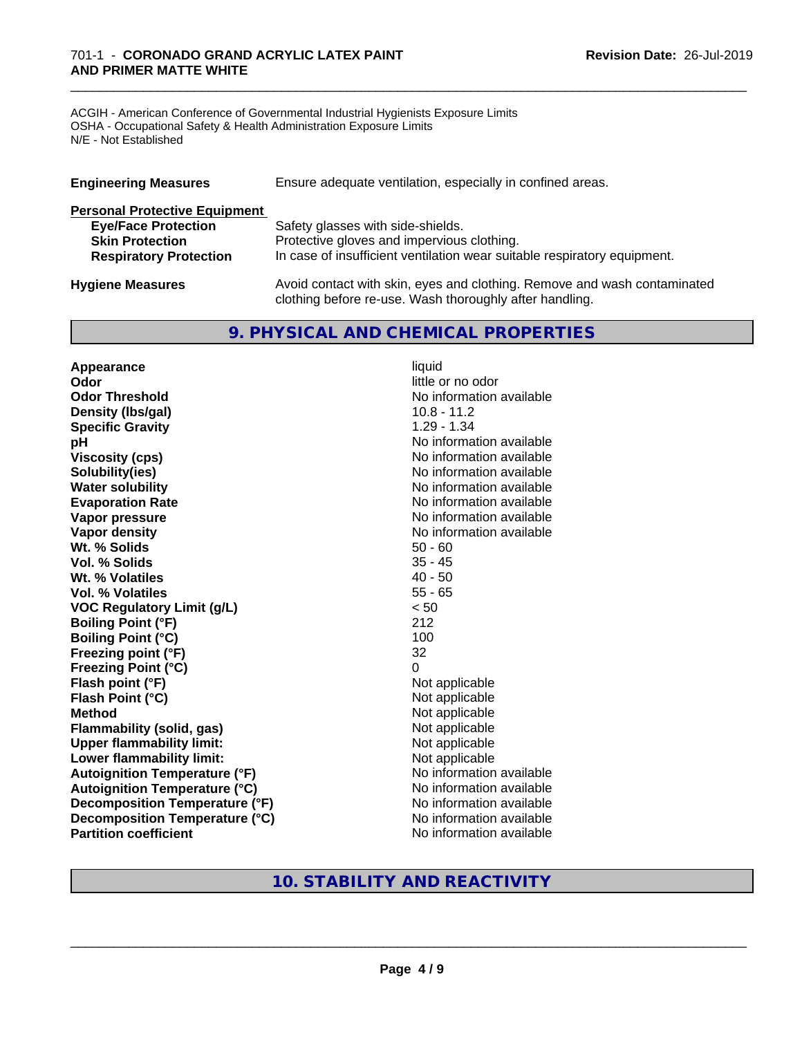ACGIH - American Conference of Governmental Industrial Hygienists Exposure Limits OSHA - Occupational Safety & Health Administration Exposure Limits N/E - Not Established

| <b>Engineering Measures</b>          | Ensure adequate ventilation, especially in confined areas.               |
|--------------------------------------|--------------------------------------------------------------------------|
| <b>Personal Protective Equipment</b> |                                                                          |
| <b>Eye/Face Protection</b>           | Safety glasses with side-shields.                                        |
| <b>Skin Protection</b>               | Protective gloves and impervious clothing.                               |
| <b>Respiratory Protection</b>        | In case of insufficient ventilation wear suitable respiratory equipment. |
| <b>Hygiene Measures</b>              | Avoid contact with skin, eyes and clothing. Remove and wash contaminated |

clothing before re-use. Wash thoroughly after handling.

\_\_\_\_\_\_\_\_\_\_\_\_\_\_\_\_\_\_\_\_\_\_\_\_\_\_\_\_\_\_\_\_\_\_\_\_\_\_\_\_\_\_\_\_\_\_\_\_\_\_\_\_\_\_\_\_\_\_\_\_\_\_\_\_\_\_\_\_\_\_\_\_\_\_\_\_\_\_\_\_\_\_\_\_\_\_\_\_\_\_\_\_\_

### **9. PHYSICAL AND CHEMICAL PROPERTIES**

**Appearance** liquid **Odor** little or no odor **Odor Threshold** No information available **Density (lbs/gal)** 10.8 - 11.2<br> **Specific Gravity** 1.29 - 1.34 **Specific Gravity pH pH**  $\blacksquare$ **Viscosity (cps)** No information available **Solubility(ies)** No information available **Water solubility** No information available **Evaporation Rate No information available No information available Vapor pressure** No information available **Vapor density**<br> **We Solids**<br>
We Solids
2019<br>
Me Solids
2019<br>
Me Solids
2019<br>
Me Solids
2019<br>
Me Solids
2019 **Wt. % Solids** 50 - 60<br> **Vol. % Solids** 35 - 45 **Vol. % Solids Wt. % Volatiles** 40 - 50 **Vol. % Volatiles** 55 - 65 **VOC Regulatory Limit (g/L)** < 50 **Boiling Point (°F)** 212 **Boiling Point (°C)** 100 **Freezing point (°F)** 32 **Freezing Point (°C)** 0 **Flash point (°F)** Not applicable **Flash Point (°C)** Not applicable **Method**<br> **Flammability (solid, gas)**<br> **Commability (solid, gas)**<br>
Mot applicable **Flammability** (solid, gas) **Upper flammability limit:**<br> **Lower flammability limit:** Not applicable Not applicable **Lower flammability limit:**<br> **Autoignition Temperature (°F)** Not applicable available and the Mustafable and Mustafable and Mustafable and Mu **Autoignition Temperature (°F) Autoignition Temperature (°C)** No information available **Decomposition Temperature (°F)** No information available **Decomposition Temperature (°C)** No information available **Partition coefficient** No information available

### **10. STABILITY AND REACTIVITY**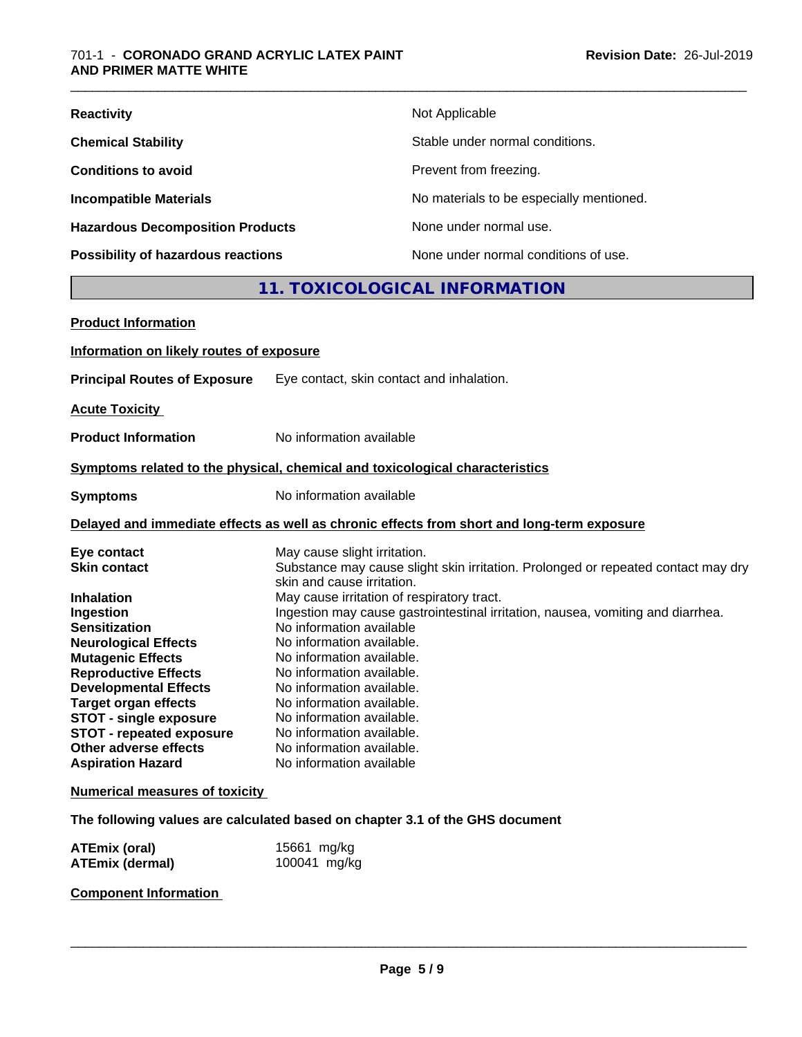| <b>Reactivity</b>                         | Not Applicable                           |
|-------------------------------------------|------------------------------------------|
| <b>Chemical Stability</b>                 | Stable under normal conditions.          |
| <b>Conditions to avoid</b>                | Prevent from freezing.                   |
| <b>Incompatible Materials</b>             | No materials to be especially mentioned. |
| <b>Hazardous Decomposition Products</b>   | None under normal use.                   |
| <b>Possibility of hazardous reactions</b> | None under normal conditions of use.     |

### **11. TOXICOLOGICAL INFORMATION**

| <b>Product Information</b>                                                                                                                                                                                                                                                                                          |                                                                                                                                                                                                                                                                                                                                                                                 |
|---------------------------------------------------------------------------------------------------------------------------------------------------------------------------------------------------------------------------------------------------------------------------------------------------------------------|---------------------------------------------------------------------------------------------------------------------------------------------------------------------------------------------------------------------------------------------------------------------------------------------------------------------------------------------------------------------------------|
| Information on likely routes of exposure                                                                                                                                                                                                                                                                            |                                                                                                                                                                                                                                                                                                                                                                                 |
| <b>Principal Routes of Exposure</b>                                                                                                                                                                                                                                                                                 | Eye contact, skin contact and inhalation.                                                                                                                                                                                                                                                                                                                                       |
| <b>Acute Toxicity</b>                                                                                                                                                                                                                                                                                               |                                                                                                                                                                                                                                                                                                                                                                                 |
| <b>Product Information</b>                                                                                                                                                                                                                                                                                          | No information available                                                                                                                                                                                                                                                                                                                                                        |
|                                                                                                                                                                                                                                                                                                                     | Symptoms related to the physical, chemical and toxicological characteristics                                                                                                                                                                                                                                                                                                    |
| <b>Symptoms</b>                                                                                                                                                                                                                                                                                                     | No information available                                                                                                                                                                                                                                                                                                                                                        |
|                                                                                                                                                                                                                                                                                                                     | Delayed and immediate effects as well as chronic effects from short and long-term exposure                                                                                                                                                                                                                                                                                      |
| Eye contact<br><b>Skin contact</b><br><b>Inhalation</b>                                                                                                                                                                                                                                                             | May cause slight irritation.<br>Substance may cause slight skin irritation. Prolonged or repeated contact may dry<br>skin and cause irritation.<br>May cause irritation of respiratory tract.                                                                                                                                                                                   |
| Ingestion<br><b>Sensitization</b><br><b>Neurological Effects</b><br><b>Mutagenic Effects</b><br><b>Reproductive Effects</b><br><b>Developmental Effects</b><br><b>Target organ effects</b><br><b>STOT - single exposure</b><br><b>STOT - repeated exposure</b><br>Other adverse effects<br><b>Aspiration Hazard</b> | Ingestion may cause gastrointestinal irritation, nausea, vomiting and diarrhea.<br>No information available<br>No information available.<br>No information available.<br>No information available.<br>No information available.<br>No information available.<br>No information available.<br>No information available.<br>No information available.<br>No information available |
| <b>Numerical measures of toxicity</b>                                                                                                                                                                                                                                                                               |                                                                                                                                                                                                                                                                                                                                                                                 |
|                                                                                                                                                                                                                                                                                                                     | The following values are calculated based on chapter 3.1 of the GHS document                                                                                                                                                                                                                                                                                                    |
| <b>ATEmix (oral)</b>                                                                                                                                                                                                                                                                                                | 15661 mg/kg                                                                                                                                                                                                                                                                                                                                                                     |

**ATEmix (dermal)** 100041 mg/kg

**Component Information**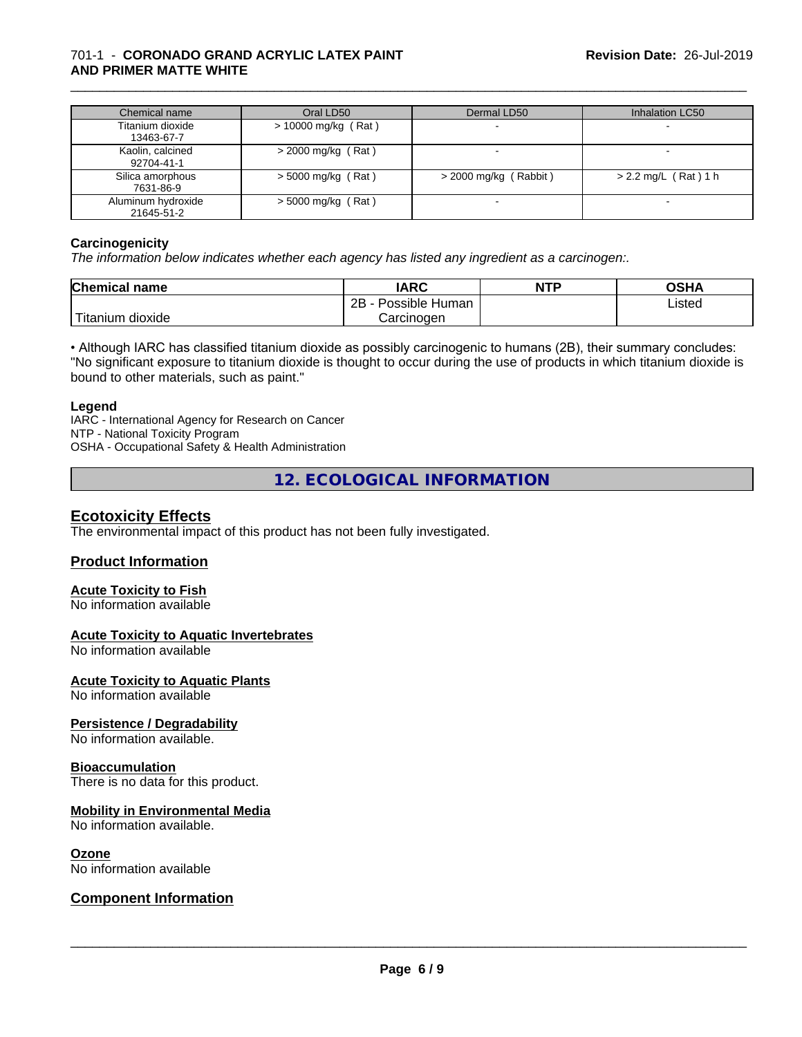### 701-1 - **CORONADO GRAND ACRYLIC LATEX PAINT AND PRIMER MATTE WHITE**

| Chemical name                    | Oral LD50             | Dermal LD50             | Inhalation LC50        |
|----------------------------------|-----------------------|-------------------------|------------------------|
| Titanium dioxide<br>13463-67-7   | $> 10000$ mg/kg (Rat) |                         |                        |
| Kaolin, calcined<br>92704-41-1   | $>$ 2000 mg/kg (Rat)  |                         |                        |
| Silica amorphous<br>7631-86-9    | $>$ 5000 mg/kg (Rat)  | $>$ 2000 mg/kg (Rabbit) | $> 2.2$ mg/L (Rat) 1 h |
| Aluminum hydroxide<br>21645-51-2 | $>$ 5000 mg/kg (Rat)  |                         |                        |

\_\_\_\_\_\_\_\_\_\_\_\_\_\_\_\_\_\_\_\_\_\_\_\_\_\_\_\_\_\_\_\_\_\_\_\_\_\_\_\_\_\_\_\_\_\_\_\_\_\_\_\_\_\_\_\_\_\_\_\_\_\_\_\_\_\_\_\_\_\_\_\_\_\_\_\_\_\_\_\_\_\_\_\_\_\_\_\_\_\_\_\_\_

#### **Carcinogenicity**

*The information below indicateswhether each agency has listed any ingredient as a carcinogen:.*

| <b>Chemical name</b> | <b>IARC</b>                 | <b>NTP</b> | ດເ⊔∧<br>UJNA |
|----------------------|-----------------------------|------------|--------------|
|                      | . .<br>2B<br>Possible Human |            | Listed       |
| Titanium<br>dioxide  | Carcinogen                  |            |              |

• Although IARC has classified titanium dioxide as possibly carcinogenic to humans (2B), their summary concludes: "No significant exposure to titanium dioxide is thought to occur during the use of products in which titanium dioxide is bound to other materials, such as paint."

#### **Legend**

IARC - International Agency for Research on Cancer NTP - National Toxicity Program OSHA - Occupational Safety & Health Administration

**12. ECOLOGICAL INFORMATION**

### **Ecotoxicity Effects**

The environmental impact of this product has not been fully investigated.

#### **Product Information**

### **Acute Toxicity to Fish**

No information available

#### **Acute Toxicity to Aquatic Invertebrates**

No information available

#### **Acute Toxicity to Aquatic Plants**

No information available

#### **Persistence / Degradability**

No information available.

#### **Bioaccumulation**

There is no data for this product.

#### **Mobility in Environmental Media**

No information available.

#### **Ozone**

No information available

### **Component Information**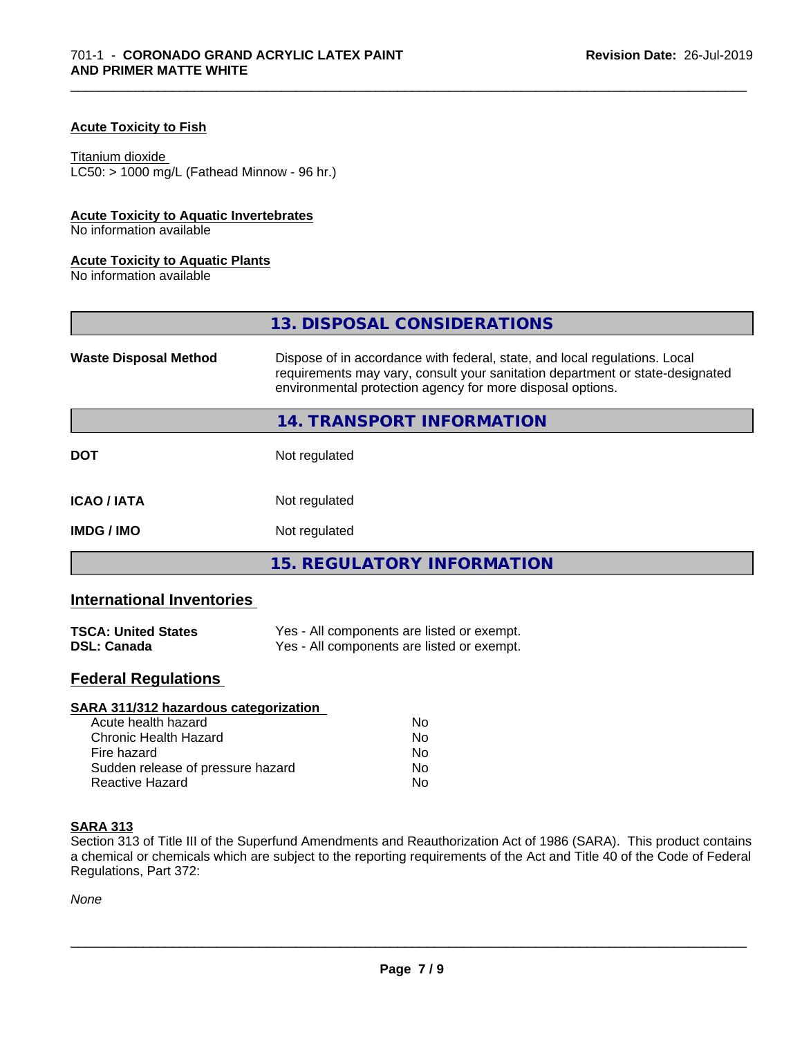#### **Acute Toxicity to Fish**

#### Titanium dioxide

 $LC50:$  > 1000 mg/L (Fathead Minnow - 96 hr.)

#### **Acute Toxicity to Aquatic Invertebrates**

No information available

#### **Acute Toxicity to Aquatic Plants**

No information available

|                              | 13. DISPOSAL CONSIDERATIONS                                                                                                                                                                                               |
|------------------------------|---------------------------------------------------------------------------------------------------------------------------------------------------------------------------------------------------------------------------|
| <b>Waste Disposal Method</b> | Dispose of in accordance with federal, state, and local regulations. Local<br>requirements may vary, consult your sanitation department or state-designated<br>environmental protection agency for more disposal options. |
|                              | 14. TRANSPORT INFORMATION                                                                                                                                                                                                 |
| <b>DOT</b>                   | Not regulated                                                                                                                                                                                                             |
| <b>ICAO/IATA</b>             | Not regulated                                                                                                                                                                                                             |
| <b>IMDG / IMO</b>            | Not regulated                                                                                                                                                                                                             |
|                              | <b>15. REGULATORY INFORMATION</b>                                                                                                                                                                                         |

\_\_\_\_\_\_\_\_\_\_\_\_\_\_\_\_\_\_\_\_\_\_\_\_\_\_\_\_\_\_\_\_\_\_\_\_\_\_\_\_\_\_\_\_\_\_\_\_\_\_\_\_\_\_\_\_\_\_\_\_\_\_\_\_\_\_\_\_\_\_\_\_\_\_\_\_\_\_\_\_\_\_\_\_\_\_\_\_\_\_\_\_\_

### **International Inventories**

| <b>TSCA: United States</b> | Yes - All components are listed or exempt. |
|----------------------------|--------------------------------------------|
| <b>DSL: Canada</b>         | Yes - All components are listed or exempt. |

### **Federal Regulations**

| SARA 311/312 hazardous categorization |    |  |
|---------------------------------------|----|--|
| Acute health hazard                   | Nο |  |
| Chronic Health Hazard                 | No |  |
| Fire hazard                           | Nο |  |
| Sudden release of pressure hazard     | No |  |
| Reactive Hazard                       | No |  |

#### **SARA 313**

Section 313 of Title III of the Superfund Amendments and Reauthorization Act of 1986 (SARA). This product contains a chemical or chemicals which are subject to the reporting requirements of the Act and Title 40 of the Code of Federal Regulations, Part 372:

*None*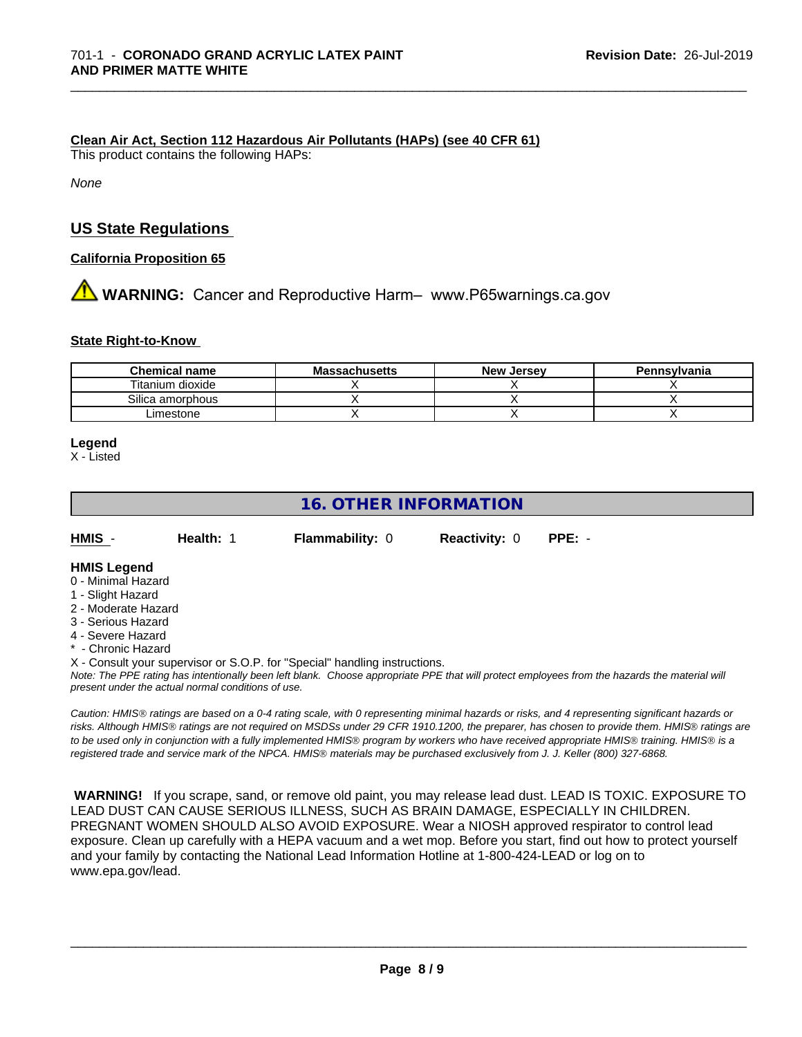#### **Clean Air Act,Section 112 Hazardous Air Pollutants (HAPs) (see 40 CFR 61)**

This product contains the following HAPs:

*None*

### **US State Regulations**

**California Proposition 65**

# **A** WARNING: Cancer and Reproductive Harm– www.P65warnings.ca.gov

#### **State Right-to-Know**

| <b>Chemical name</b> | <b>Massachusetts</b> | <b>New Jersey</b> | Pennsylvania |
|----------------------|----------------------|-------------------|--------------|
| Titanium dioxide     |                      |                   |              |
| Silica amorphous     |                      |                   |              |
| _imestone            |                      |                   |              |

\_\_\_\_\_\_\_\_\_\_\_\_\_\_\_\_\_\_\_\_\_\_\_\_\_\_\_\_\_\_\_\_\_\_\_\_\_\_\_\_\_\_\_\_\_\_\_\_\_\_\_\_\_\_\_\_\_\_\_\_\_\_\_\_\_\_\_\_\_\_\_\_\_\_\_\_\_\_\_\_\_\_\_\_\_\_\_\_\_\_\_\_\_

#### **Legend**

X - Listed

### **16. OTHER INFORMATION**

| HMIS | <b>Health: 1</b> | <b>Flammability: 0</b> | <b>Reactivity: 0</b> | PPE: - |
|------|------------------|------------------------|----------------------|--------|
|      |                  |                        |                      |        |

#### **HMIS Legend**

- 0 Minimal Hazard
- 1 Slight Hazard
- 2 Moderate Hazard
- 3 Serious Hazard
- 4 Severe Hazard
- \* Chronic Hazard

X - Consult your supervisor or S.O.P. for "Special" handling instructions.

*Note: The PPE rating has intentionally been left blank. Choose appropriate PPE that will protect employees from the hazards the material will present under the actual normal conditions of use.*

*Caution: HMISÒ ratings are based on a 0-4 rating scale, with 0 representing minimal hazards or risks, and 4 representing significant hazards or risks. Although HMISÒ ratings are not required on MSDSs under 29 CFR 1910.1200, the preparer, has chosen to provide them. HMISÒ ratings are to be used only in conjunction with a fully implemented HMISÒ program by workers who have received appropriate HMISÒ training. HMISÒ is a registered trade and service mark of the NPCA. HMISÒ materials may be purchased exclusively from J. J. Keller (800) 327-6868.*

 **WARNING!** If you scrape, sand, or remove old paint, you may release lead dust. LEAD IS TOXIC. EXPOSURE TO LEAD DUST CAN CAUSE SERIOUS ILLNESS, SUCH AS BRAIN DAMAGE, ESPECIALLY IN CHILDREN. PREGNANT WOMEN SHOULD ALSO AVOID EXPOSURE.Wear a NIOSH approved respirator to control lead exposure. Clean up carefully with a HEPA vacuum and a wet mop. Before you start, find out how to protect yourself and your family by contacting the National Lead Information Hotline at 1-800-424-LEAD or log on to www.epa.gov/lead.